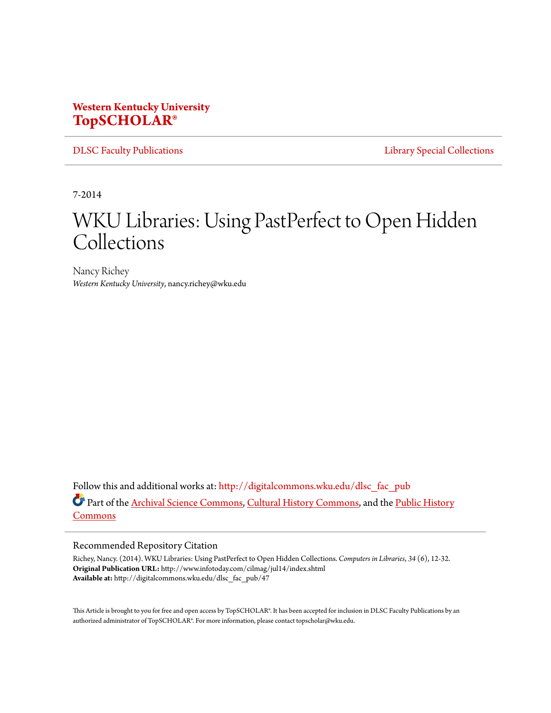### **Western Kentucky University [TopSCHOLAR®](http://digitalcommons.wku.edu?utm_source=digitalcommons.wku.edu%2Fdlsc_fac_pub%2F47&utm_medium=PDF&utm_campaign=PDFCoverPages)**

[DLSC Faculty Publications](http://digitalcommons.wku.edu/dlsc_fac_pub?utm_source=digitalcommons.wku.edu%2Fdlsc_fac_pub%2F47&utm_medium=PDF&utm_campaign=PDFCoverPages) [Library Special Collections](http://digitalcommons.wku.edu/dlsc?utm_source=digitalcommons.wku.edu%2Fdlsc_fac_pub%2F47&utm_medium=PDF&utm_campaign=PDFCoverPages)

7-2014

# WKU Libraries: Using PastPerfect to Open Hidden Collections

Nancy Richey *Western Kentucky University*, nancy.richey@wku.edu

Follow this and additional works at: [http://digitalcommons.wku.edu/dlsc\\_fac\\_pub](http://digitalcommons.wku.edu/dlsc_fac_pub?utm_source=digitalcommons.wku.edu%2Fdlsc_fac_pub%2F47&utm_medium=PDF&utm_campaign=PDFCoverPages) Part of the [Archival Science Commons,](http://network.bepress.com/hgg/discipline/1021?utm_source=digitalcommons.wku.edu%2Fdlsc_fac_pub%2F47&utm_medium=PDF&utm_campaign=PDFCoverPages) [Cultural History Commons,](http://network.bepress.com/hgg/discipline/496?utm_source=digitalcommons.wku.edu%2Fdlsc_fac_pub%2F47&utm_medium=PDF&utm_campaign=PDFCoverPages) and the [Public History](http://network.bepress.com/hgg/discipline/1292?utm_source=digitalcommons.wku.edu%2Fdlsc_fac_pub%2F47&utm_medium=PDF&utm_campaign=PDFCoverPages) [Commons](http://network.bepress.com/hgg/discipline/1292?utm_source=digitalcommons.wku.edu%2Fdlsc_fac_pub%2F47&utm_medium=PDF&utm_campaign=PDFCoverPages)

#### Recommended Repository Citation

Richey, Nancy. (2014). WKU Libraries: Using PastPerfect to Open Hidden Collections. *Computers in Libraries*, *34* (6), 12-32. **Original Publication URL:** http://www.infotoday.com/cilmag/jul14/index.shtml **Available at:** http://digitalcommons.wku.edu/dlsc\_fac\_pub/47

This Article is brought to you for free and open access by TopSCHOLAR®. It has been accepted for inclusion in DLSC Faculty Publications by an authorized administrator of TopSCHOLAR®. For more information, please contact topscholar@wku.edu.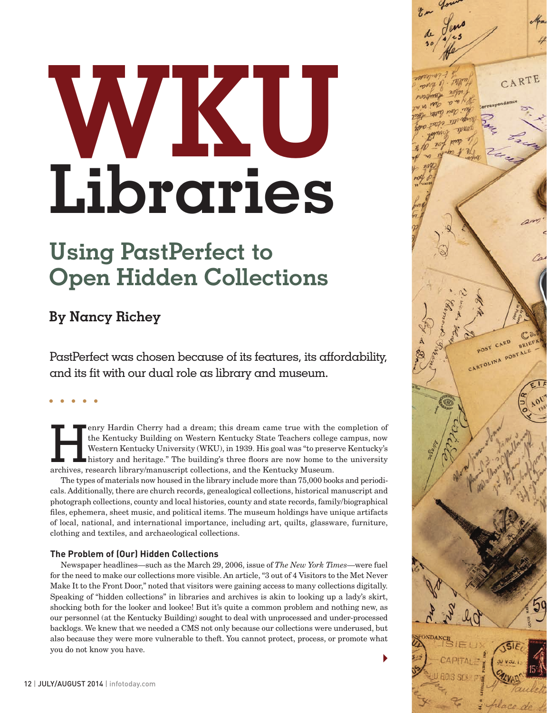# **WKU Libraries**

# **Using PastPerfect to Open Hidden Collections**

## **By Nancy Richey**

PastPerfect was chosen because of its features, its affordability, and its fit with our dual role as library and museum.

Fenry Hardin Cherry had a dream; this dream came true with the completion of the Kentucky Building on Western Kentucky State Teachers college campus, now Western Kentucky University (WKU), in 1939. His goal was "to preserv the Kentucky Building on Western Kentucky State Teachers college campus, now Western Kentucky University (WKU), in 1939. His goal was "to preserve Kentucky's history and heritage." The building's three floors are now home to the university archives, research library/manuscript collections, and the Kentucky Museum.

The types of materials now housed in the library include more than 75,000 books and periodicals. Additionally, there are church records, genealogical collections, historical manuscript and photograph collections, county and local histories, county and state records, family/biographical files, ephemera, sheet music, and political items. The museum holdings have unique artifacts of local, national, and international importance, including art, quilts, glassware, furniture, clothing and textiles, and archaeological collections.

#### **The Problem of (Our) Hidden Collections**

Newspaper headlines—such as the March 29, 2006, issue of *The New York Times*—were fuel for the need to make our collections more visible. An article, "3 out of 4 Visitors to the Met Never Make It to the Front Door," noted that visitors were gaining access to many collections digitally. Speaking of "hidden collections" in libraries and archives is akin to looking up a lady's skirt, shocking both for the looker and lookee! But it's quite a common problem and nothing new, as our personnel (at the Kentucky Building) sought to deal with unprocessed and under-processed backlogs. We knew that we needed a CMS not only because our collections were underused, but also because they were more vulnerable to theft. You cannot protect, process, or promote what you do not know you have.



A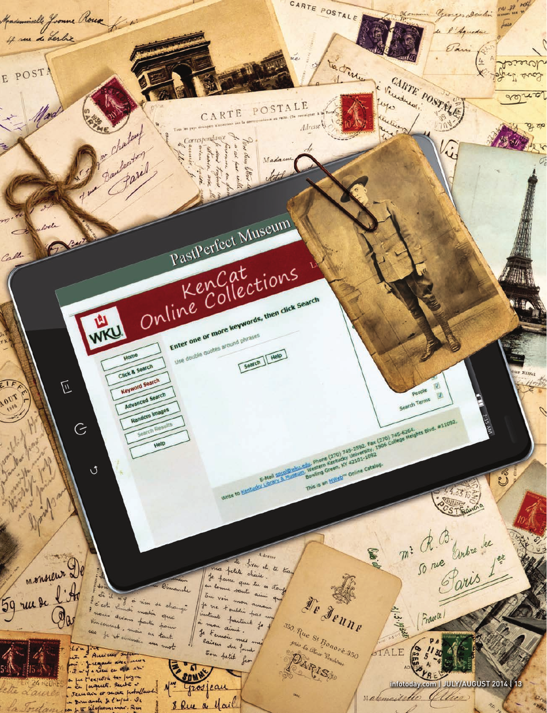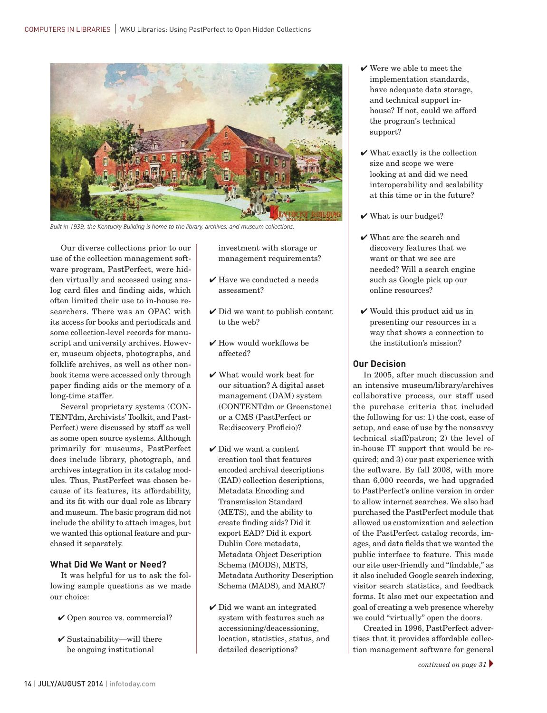

*Built in 1939, the Kentucky Building is home to the library, archives, and museum collections.*

Our diverse collections prior to our use of the collection management software program, PastPerfect, were hidden virtually and accessed using analog card files and finding aids, which often limited their use to in-house researchers. There was an OPAC with its access for books and periodicals and some collection-level records for manuscript and university archives. However, museum objects, photographs, and folklife archives, as well as other nonbook items were accessed only through paper finding aids or the memory of a long-time staffer.

Several proprietary systems (CON-TENTdm, Archivists' Toolkit, and Past-Perfect) were discussed by staff as well as some open source systems. Although primarily for museums, PastPerfect does include library, photograph, and archives integration in its catalog modules. Thus, PastPerfect was chosen because of its features, its affordability, and its fit with our dual role as library and museum. The basic program did not include the ability to attach images, but we wanted this optional feature and purchased it separately.

#### **What Did We Want or Need?**

It was helpful for us to ask the following sample questions as we made our choice:

- $\checkmark$  Open source vs. commercial?
- $\checkmark$  Sustainability—will there be ongoing institutional

investment with storage or management requirements?

- $\checkmark$  Have we conducted a needs assessment?
- $\checkmark$  Did we want to publish content to the web?
- $\checkmark$  How would workflows be affected?
- $\boldsymbol{\checkmark}$  What would work best for our situation? A digital asset management (DAM) system (CONTENTdm or Greenstone) or a CMS (PastPerfect or Re:discovery Proficio)?
- $\boldsymbol{\checkmark}$  Did we want a content creation tool that features encoded archival descriptions (EAD) collection descriptions, Metadata Encoding and Transmission Standard (METS), and the ability to create finding aids? Did it export EAD? Did it export Dublin Core metadata, Metadata Object Description Schema (MODS), METS, Metadata Authority Description Schema (MADS), and MARC?
- $\checkmark$  Did we want an integrated system with features such as accessioning/deacessioning, location, statistics, status, and detailed descriptions?
- $\checkmark$  Were we able to meet the implementation standards, have adequate data storage, and technical support inhouse? If not, could we afford the program's technical support?
- $\checkmark$  What exactly is the collection size and scope we were looking at and did we need interoperability and scalability at this time or in the future?
- $\checkmark$  What is our budget?
- $\checkmark$  What are the search and discovery features that we want or that we see are needed? Will a search engine such as Google pick up our online resources?
- $\checkmark$  Would this product aid us in presenting our resources in a way that shows a connection to the institution's mission?

#### **Our Decision**

In 2005, after much discussion and an intensive museum/library/archives collaborative process, our staff used the purchase criteria that included the following for us: 1) the cost, ease of setup, and ease of use by the nonsavvy technical staff/patron; 2) the level of in-house IT support that would be required; and 3) our past experience with the software. By fall 2008, with more than 6,000 records, we had upgraded to PastPerfect's online version in order to allow internet searches. We also had purchased the PastPerfect module that allowed us customization and selection of the PastPerfect catalog records, images, and data fields that we wanted the public interface to feature. This made our site user-friendly and "findable," as it also included Google search indexing, visitor search statistics, and feedback forms. It also met our expectation and goal of creating a web presence whereby we could "virtually" open the doors.

Created in 1996, PastPerfect advertises that it provides affordable collection management software for general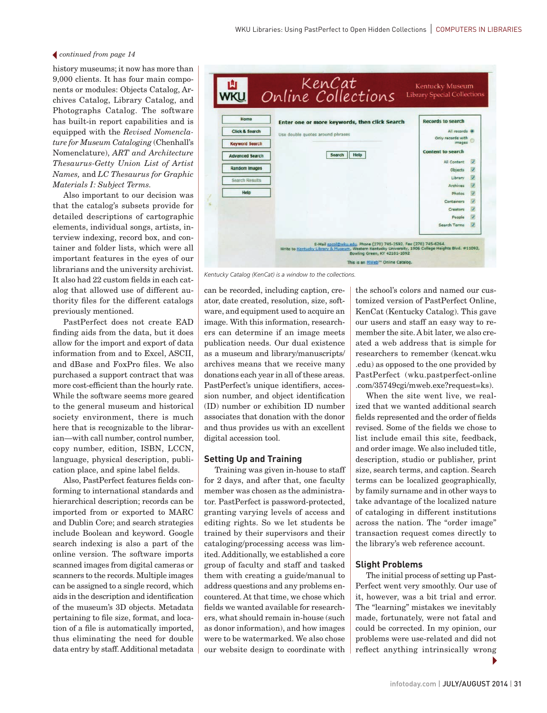#### B *continued from page 14*

history museums; it now has more than 9,000 clients. It has four main components or modules: Objects Catalog, Archives Catalog, Library Catalog, and Photographs Catalog. The software has built-in report capabilities and is equipped with the *Revised Nomenclature for Museum Cataloging* (Chenhall's Nomenclature), *ART and Architecture Thesaurus-Getty Union List of Artist Names,* and *LC Thesaurus for Graphic Materials I: Subject Terms.* 

Also important to our decision was that the catalog's subsets provide for detailed descriptions of cartographic elements, individual songs, artists, interview indexing, record box, and container and folder lists, which were all important features in the eyes of our librarians and the university archivist. It also had 22 custom fields in each catalog that allowed use of different authority files for the different catalogs previously mentioned.

PastPerfect does not create EAD finding aids from the data, but it does allow for the import and export of data information from and to Excel, ASCII, and dBase and FoxPro files. We also purchased a support contract that was more cost-efficient than the hourly rate. While the software seems more geared to the general museum and historical society environment, there is much here that is recognizable to the librarian—with call number, control number, copy number, edition, ISBN, LCCN, language, physical description, publication place, and spine label fields.

Also, PastPerfect features fields conforming to international standards and hierarchical description; records can be imported from or exported to MARC and Dublin Core; and search strategies include Boolean and keyword. Google search indexing is also a part of the online version. The software imports scanned images from digital cameras or scanners to the records. Multiple images can be assigned to a single record, which aids in the description and identification of the museum's 3D objects. Metadata pertaining to file size, format, and location of a file is automatically imported, thus eliminating the need for double data entry by staff. Additional metadata



*Kentucky Catalog (KenCat) is a window to the collections.*

can be recorded, including caption, creator, date created, resolution, size, software, and equipment used to acquire an image. With this information, researchers can determine if an image meets publication needs. Our dual existence as a museum and library/manuscripts/ archives means that we receive many donations each year in all of these areas. PastPerfect's unique identifiers, accession number, and object identification (ID) number or exhibition ID number associates that donation with the donor and thus provides us with an excellent digital accession tool.

#### **Setting Up and Training**

Training was given in-house to staff for 2 days, and after that, one faculty member was chosen as the administrator. PastPerfect is password-protected, granting varying levels of access and editing rights. So we let students be trained by their supervisors and their cataloging/processing access was limited. Additionally, we established a core group of faculty and staff and tasked them with creating a guide/manual to address questions and any problems encountered. At that time, we chose which fields we wanted available for researchers, what should remain in-house (such as donor information), and how images were to be watermarked. We also chose our website design to coordinate with

the school's colors and named our customized version of PastPerfect Online, KenCat (Kentucky Catalog). This gave our users and staff an easy way to remember the site. A bit later, we also created a web address that is simple for researchers to remember (kencat.wku .edu) as opposed to the one provided by PastPerfect (wku.pastperfect-online .com/35749cgi/mweb.exe?request=ks).

When the site went live, we realized that we wanted additional search fields represented and the order of fields revised. Some of the fields we chose to list include email this site, feedback, and order image. We also included title, description, studio or publisher, print size, search terms, and caption. Search terms can be localized geographically, by family surname and in other ways to take advantage of the localized nature of cataloging in different institutions across the nation. The "order image" transaction request comes directly to the library's web reference account.

#### **Slight Problems**

The initial process of setting up Past-Perfect went very smoothly. Our use of it, however, was a bit trial and error. The "learning" mistakes we inevitably made, fortunately, were not fatal and could be corrected. In my opinion, our problems were use-related and did not reflect anything intrinsically wrong